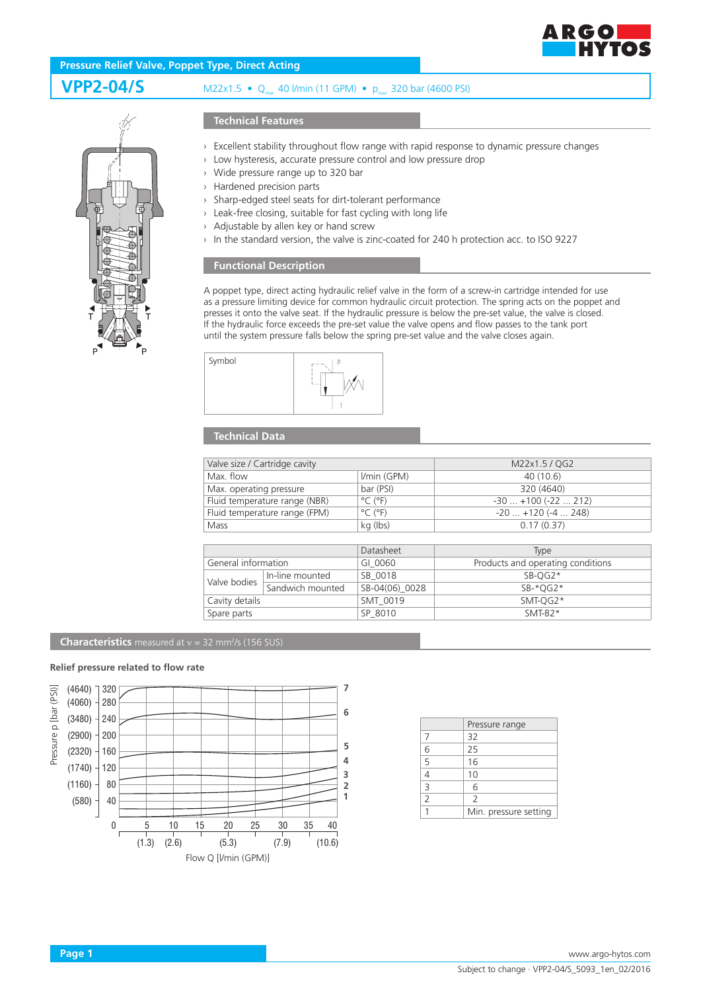

# **Pressure Relief Valve, Poppet Type, Direct Acting**

**VPP2-04/S** M22x1.5 • Q<sub>max</sub> 40 l/min (11 GPM) • p<sub>max</sub> 320 bar (4600 PSI)



## **Technical Features**

- › Excellent stability throughout flow range with rapid response to dynamic pressure changes
- › Low hysteresis, accurate pressure control and low pressure drop
- › Wide pressure range up to 320 bar
- › Hardened precision parts
- › Sharp-edged steel seats for dirt-tolerant performance
- › Leak-free closing, suitable for fast cycling with long life
- › Adjustable by allen key or hand screw
- In the standard version, the valve is zinc-coated for 240 h protection acc. to ISO 9227

### **Functional Description**

A poppet type, direct acting hydraulic relief valve in the form of a screw-in cartridge intended for use as a pressure limiting device for common hydraulic circuit protection. The spring acts on the poppet and presses it onto the valve seat. If the hydraulic pressure is below the pre-set value, the valve is closed. If the hydraulic force exceeds the pre-set value the valve opens and flow passes to the tank port until the system pressure falls below the spring pre-set value and the valve closes again.



# **Technical Data**

| Valve size / Cartridge cavity |                              | M22x1.5 / QG2             |
|-------------------------------|------------------------------|---------------------------|
| Max. flow                     | <i>Vmin (GPM)</i>            | 40 (10.6)                 |
| Max. operating pressure       | bar (PSI)                    | 320 (4640)                |
| Fluid temperature range (NBR) | $^{\circ}$ C ( $^{\circ}$ F) | $-30$ $+100$ ( $-22$ 212) |
| Fluid temperature range (FPM) | $^{\circ}$ C ( $^{\circ}$ F) | $-20$ $+120$ ( $-4$ 248)  |
| Mass                          | kg (lbs)                     | 0.17(0.37)                |

|                     |                  | Datasheet      | Type                              |
|---------------------|------------------|----------------|-----------------------------------|
| General information |                  | GI 0060        | Products and operating conditions |
| Valve bodies        | In-line mounted  | SB 0018        | $SB-OG2*$                         |
|                     | Sandwich mounted | SB-04(06) 0028 | $SB-*OG2*$                        |
| Cavity details      |                  | SMT 0019       | $SMT-OG2*$                        |
| Spare parts         |                  | SP 8010        | $SMT-B2*$                         |

#### **Characteristics** measured at  $v = 32$  mm<sup>2</sup>/s (156 SUS)

#### **Relief pressure related to flow rate**



|                | Pressure range           |
|----------------|--------------------------|
| 7              | 32                       |
| 6              | 25                       |
| 5              | 16                       |
| $\overline{4}$ | 10                       |
|                | 6                        |
| $\overline{2}$ | $\overline{\phantom{0}}$ |
|                | Min. pressure setting    |